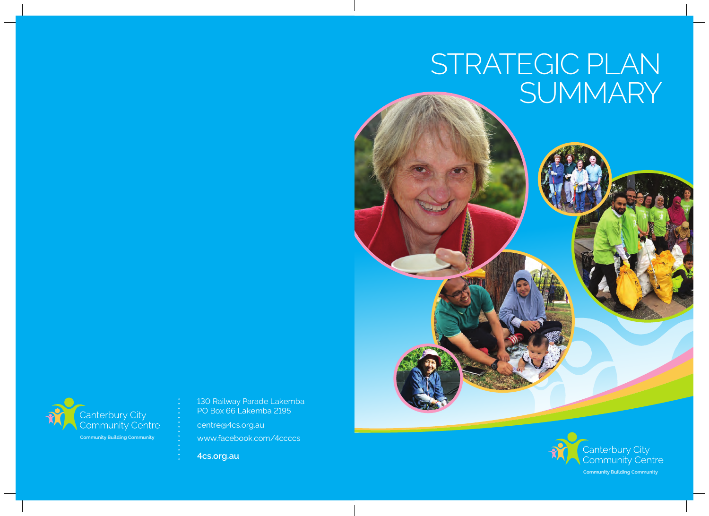# STRATEGIC PLAN SUMMARY



130 Railway Parade Lakemba PO Box 66 Lakemba 2195

centre@4cs.org.au www.facebook.com/4ccccs

**4cs.org.au**